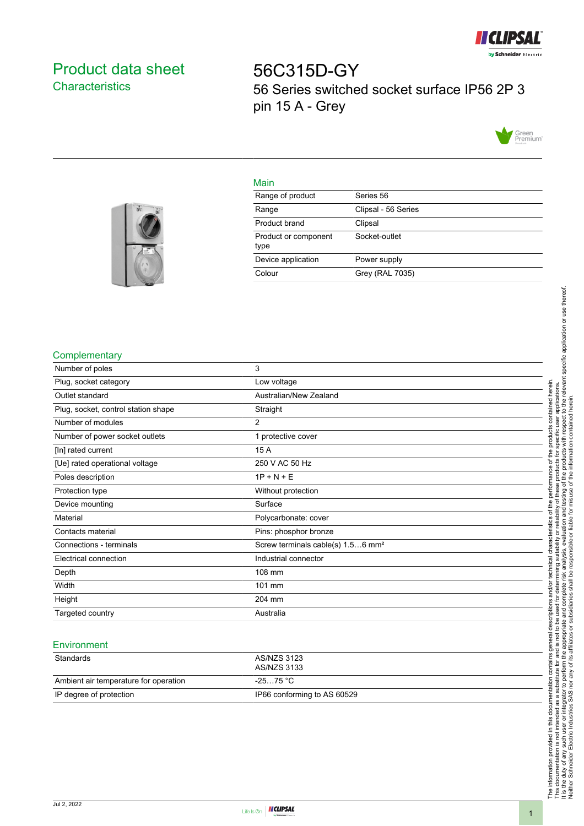

# <span id="page-0-0"></span>Product data sheet **Characteristics**

56C315D-GY 56 Series switched socket surface IP56 2P 3 pin 15 A - Grey



### Main

| Range of product             | Series 56           |
|------------------------------|---------------------|
| Range                        | Clipsal - 56 Series |
| Product brand                | Clipsal             |
| Product or component<br>type | Socket-outlet       |
| Device application           | Power supply        |
| Colour                       | Grey (RAL 7035)     |
|                              |                     |



### **Complementary**

| Number of poles                     | 3                                             |
|-------------------------------------|-----------------------------------------------|
| Plug, socket category               | Low voltage                                   |
| Outlet standard                     | Australian/New Zealand                        |
| Plug, socket, control station shape | Straight                                      |
| Number of modules                   | $\overline{2}$                                |
| Number of power socket outlets      | 1 protective cover                            |
| [In] rated current                  | 15 A                                          |
| [Ue] rated operational voltage      | 250 V AC 50 Hz                                |
| Poles description                   | $1P + N + E$                                  |
| Protection type                     | Without protection                            |
| Device mounting                     | Surface                                       |
| Material                            | Polycarbonate: cover                          |
| Contacts material                   | Pins: phosphor bronze                         |
| Connections - terminals             | Screw terminals cable(s) 1.56 mm <sup>2</sup> |
| Electrical connection               | Industrial connector                          |
| Depth                               | 108 mm                                        |
| Width                               | 101 mm                                        |
| Height                              | 204 mm                                        |
| Targeted country                    | Australia                                     |
|                                     |                                               |

#### **Environment**

| Standards                             | AS/NZS 3123<br>AS/NZS 3133  |
|---------------------------------------|-----------------------------|
| Ambient air temperature for operation | -25…75 °C                   |
| IP degree of protection               | IP66 conforming to AS 60529 |